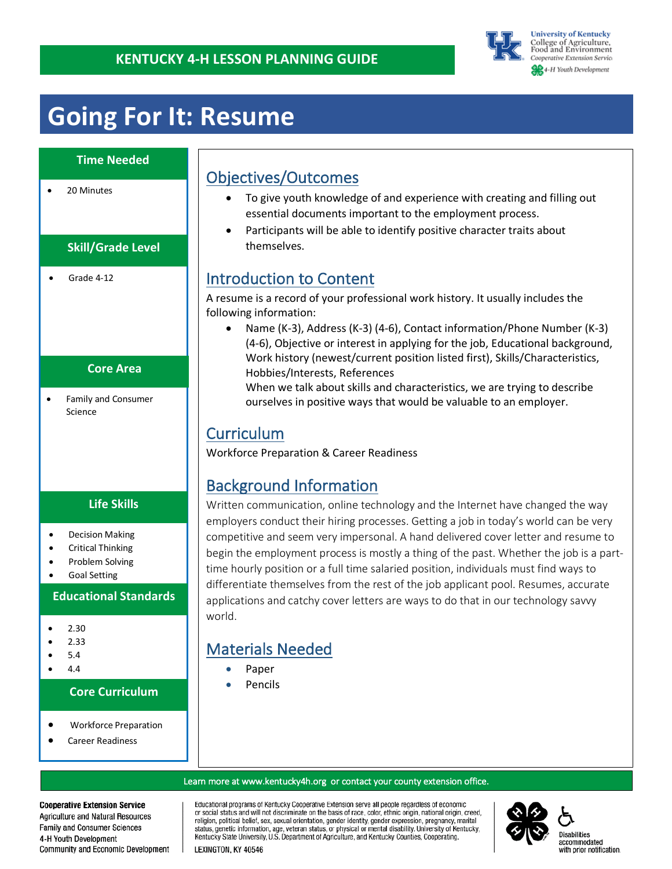

#### **University of Kentucky** College of Agriculture,<br>Food and Environment Cooperative Extension Service **SR** 4-H Youth Development

## **Going For It: Resume**

### **Time Needed**

20 Minutes

### **Skill/Grade Level**

• Grade 4-12

### **Core Area**

• Family and Consumer Science

### **Life Skills**

- Decision Making
- Critical Thinking
- Problem Solving
- Goal Setting

#### **Educational Standards**

- 2.30
- 2.33
- 5.4
- 4.4

#### **Core Curriculum**

- Workforce Preparation
- Career Readiness

## Objectives/Outcomes

- To give youth knowledge of and experience with creating and filling out essential documents important to the employment process.
- Participants will be able to identify positive character traits about themselves.

## Introduction to Content

A resume is a record of your professional work history. It usually includes the following information:

• Name (K-3), Address (K-3) (4-6), Contact information/Phone Number (K-3) (4-6), Objective or interest in applying for the job, Educational background, Work history (newest/current position listed first), Skills/Characteristics, Hobbies/Interests, References

When we talk about skills and characteristics, we are trying to describe ourselves in positive ways that would be valuable to an employer.

## Curriculum

Workforce Preparation & Career Readiness

## Background Information

Written communication, online technology and the Internet have changed the way employers conduct their hiring processes. Getting a job in today's world can be very competitive and seem very impersonal. A hand delivered cover letter and resume to begin the employment process is mostly a thing of the past. Whether the job is a parttime hourly position or a full time salaried position, individuals must find ways to differentiate themselves from the rest of the job applicant pool. Resumes, accurate applications and catchy cover letters are ways to do that in our technology savvy world.

## Materials Needed

- Paper
- Pencils

#### Learn more at www.kentucky4h.org or contact your county extension office.

Educational programs of Kentucky Cooperative Extension serve all people regardless of economic or social status and will not discriminate on the basis of race, color, ethnic origin, national origin, creed, religion, political belief, sex, sexual orientation, gender identity, gender expression, pregnancy, marital status, genetic information, age, veteran status, or physical or mental disability. University of Kentucky, Kentucky State University, U.S. Department of Agriculture, and Kentucky Counties, Cooperating.

#### LEXINGTON, KY 40546

#### **Cooperative Extension Service**

Agriculture and Natural Resources Family and Consumer Sciences 4-H Youth Development Community and Economic Development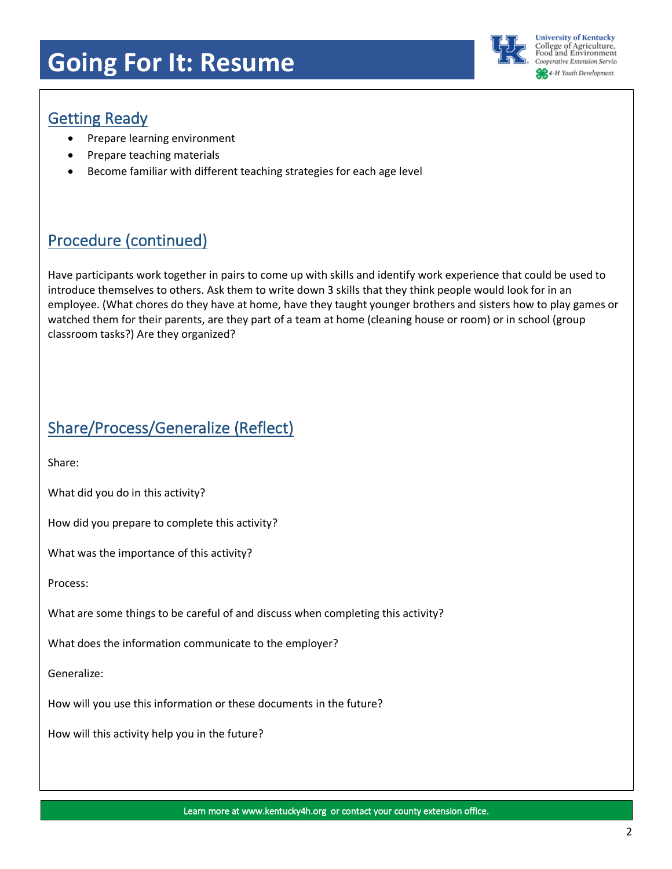## **Going For It: Resume**



**University of Kentucky** .<br>College of Agriculture,<br>Food and Environment **Cooperative Extension Service** 4-H Youth Development

## Getting Ready

- Prepare learning environment
- Prepare teaching materials
- Become familiar with different teaching strategies for each age level

## Procedure (continued)

Have participants work together in pairs to come up with skills and identify work experience that could be used to introduce themselves to others. Ask them to write down 3 skills that they think people would look for in an employee. (What chores do they have at home, have they taught younger brothers and sisters how to play games or watched them for their parents, are they part of a team at home (cleaning house or room) or in school (group classroom tasks?) Are they organized?

## Share/Process/Generalize (Reflect)

Share:

What did you do in this activity?

How did you prepare to complete this activity?

What was the importance of this activity?

Process:

What are some things to be careful of and discuss when completing this activity?

What does the information communicate to the employer?

Generalize:

How will you use this information or these documents in the future?

How will this activity help you in the future?